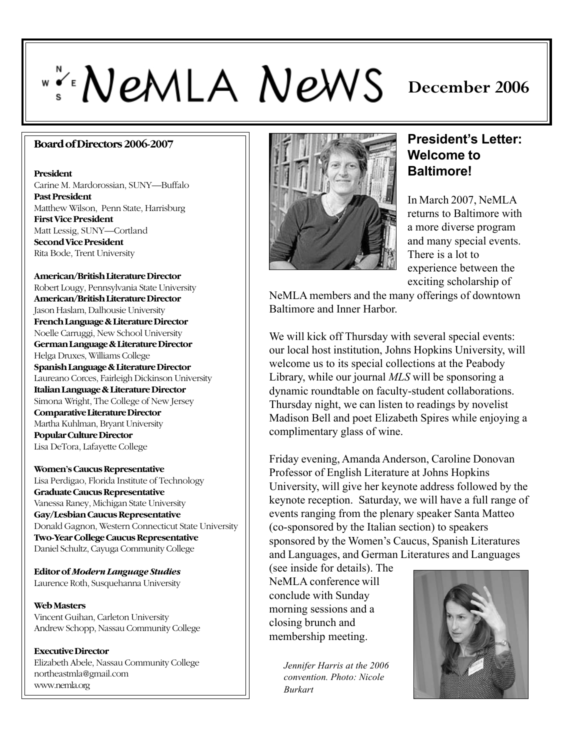# ""NEMLA NEWS

# **December 2006**

#### **Board of Directors 2006-2007**

#### **President**

Carine M. Mardorossian, SUNY—Buffalo **Past President** Matthew Wilson, Penn State, Harrisburg **First Vice President** Matt Lessig, SUNY—Cortland **Second Vice President** Rita Bode, Trent University

**American/British Literature Director** Robert Lougy, Pennsylvania State University **American/British Literature Director** Jason Haslam, Dalhousie University **French Language & Literature Director** Noelle Carruggi, New School University **German Language & Literature Director** Helga Druxes, Williams College **Spanish Language & Literature Director** Laureano Corces, Fairleigh Dickinson University **Italian Language & Literature Director** Simona Wright, The College of New Jersey **Comparative Literature Director** Martha Kuhlman, Bryant University **Popular Culture Director** Lisa DeTora, Lafayette College

**Women's Caucus Representative** Lisa Perdigao, Florida Institute of Technology **Graduate Caucus Representative** Vanessa Raney, Michigan State University **Gay/Lesbian Caucus Representative** Donald Gagnon, Western Connecticut State University **Two-Year College Caucus Representative** Daniel Schultz, Cayuga Community College

**Editor of** *Modern Language Studies* Laurence Roth, Susquehanna University

**Web Masters** Vincent Guihan, Carleton University Andrew Schopp, Nassau Community College

**Executive Director** Elizabeth Abele, Nassau Community College northeastmla@gmail.com www.nemla.org



#### President's Letter: **Welcome to Baltimore!**

In March 2007, NeMLA returns to Baltimore with a more diverse program and many special events. There is a lot to experience between the exciting scholarship of

NeMLA members and the many offerings of downtown Baltimore and Inner Harbor.

We will kick off Thursday with several special events: our local host institution, Johns Hopkins University, will welcome us to its special collections at the Peabody Library, while our journal *MLS* will be sponsoring a dynamic roundtable on faculty-student collaborations. Thursday night, we can listen to readings by novelist Madison Bell and poet Elizabeth Spires while enjoying a complimentary glass of wine.

Friday evening, Amanda Anderson, Caroline Donovan Professor of English Literature at Johns Hopkins University, will give her keynote address followed by the keynote reception. Saturday, we will have a full range of events ranging from the plenary speaker Santa Matteo (co-sponsored by the Italian section) to speakers sponsored by the Women's Caucus, Spanish Literatures and Languages, and German Literatures and Languages

(see inside for details). The NeMLA conference will conclude with Sunday morning sessions and a closing brunch and membership meeting.

> *Jennifer Harris at the 2006 convention. Photo: Nicole Burkart*

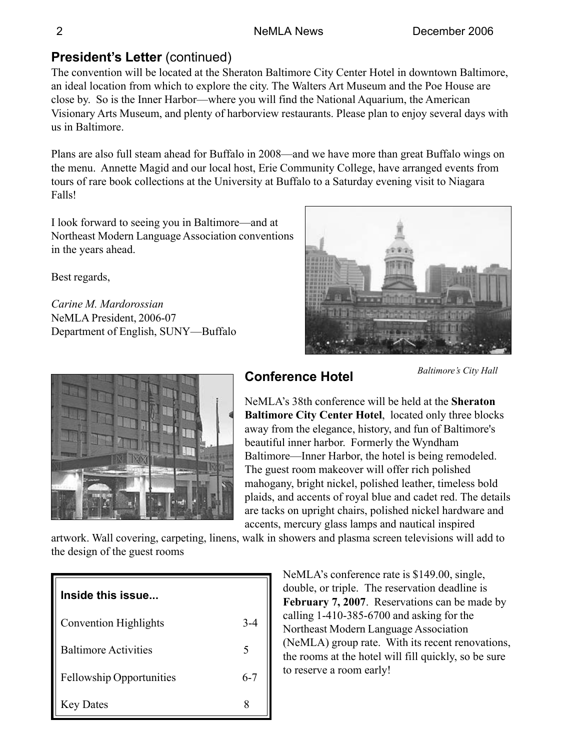# **President's Letter (continued)**

The convention will be located at the Sheraton Baltimore City Center Hotel in downtown Baltimore, an ideal location from which to explore the city. The Walters Art Museum and the Poe House are close by. So is the Inner Harbor—where you will find the National Aquarium, the American Visionary Arts Museum, and plenty of harborview restaurants. Please plan to enjoy several days with us in Baltimore.

Plans are also full steam ahead for Buffalo in 2008—and we have more than great Buffalo wings on the menu. Annette Magid and our local host, Erie Community College, have arranged events from tours of rare book collections at the University at Buffalo to a Saturday evening visit to Niagara Falls!

I look forward to seeing you in Baltimore—and at Northeast Modern Language Association conventions in the years ahead.

Best regards,

*Carine M. Mardorossian* NeMLA President, 2006-07 Department of English, SUNY—Buffalo





# **Conference Hotel**

**Baltimore's City Hall** 

NeMLAís 38th conference will be held at the **Sheraton Baltimore City Center Hotel**, located only three blocks away from the elegance, history, and fun of Baltimore's beautiful inner harbor. Formerly the Wyndham Baltimore—Inner Harbor, the hotel is being remodeled. The guest room makeover will offer rich polished mahogany, bright nickel, polished leather, timeless bold plaids, and accents of royal blue and cadet red. The details are tacks on upright chairs, polished nickel hardware and accents, mercury glass lamps and nautical inspired

artwork. Wall covering, carpeting, linens, walk in showers and plasma screen televisions will add to the design of the guest rooms

| Inside this issue               |         |
|---------------------------------|---------|
| <b>Convention Highlights</b>    | $3 - 4$ |
| <b>Baltimore Activities</b>     | 5       |
| <b>Fellowship Opportunities</b> | $6 - 7$ |
| <b>Key Dates</b>                |         |

NeMLA's conference rate is \$149.00, single, double, or triple. The reservation deadline is **February 7, 2007**. Reservations can be made by calling 1-410-385-6700 and asking for the Northeast Modern Language Association (NeMLA) group rate. With its recent renovations, the rooms at the hotel will fill quickly, so be sure to reserve a room early!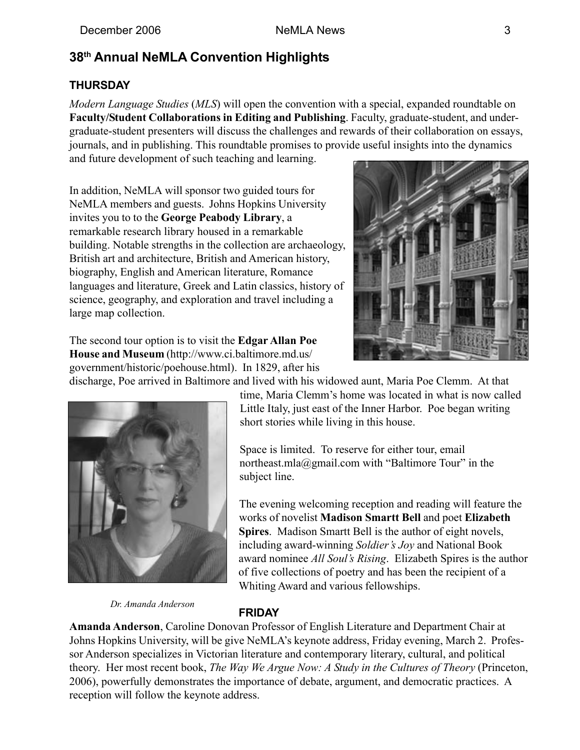### **38th Annual NeMLA Convention Highlights**

#### **THURSDAY**

*Modern Language Studies* (*MLS*) will open the convention with a special, expanded roundtable on **Faculty/Student Collaborations in Editing and Publishing**. Faculty, graduate-student, and undergraduate-student presenters will discuss the challenges and rewards of their collaboration on essays, journals, and in publishing. This roundtable promises to provide useful insights into the dynamics and future development of such teaching and learning.

In addition, NeMLA will sponsor two guided tours for NeMLA members and guests. Johns Hopkins University invites you to to the **George Peabody Library**, a remarkable research library housed in a remarkable building. Notable strengths in the collection are archaeology, British art and architecture, British and American history, biography, English and American literature, Romance languages and literature, Greek and Latin classics, history of science, geography, and exploration and travel including a large map collection.



The second tour option is to visit the **Edgar Allan Poe House and Museum** (http://www.ci.baltimore.md.us/ government/historic/poehouse.html). In 1829, after his

discharge, Poe arrived in Baltimore and lived with his widowed aunt, Maria Poe Clemm. At that



time, Maria Clemm's home was located in what is now called Little Italy, just east of the Inner Harbor. Poe began writing short stories while living in this house.

Space is limited. To reserve for either tour, email northeast.mla@gmail.com with "Baltimore Tour" in the subject line.

The evening welcoming reception and reading will feature the works of novelist **Madison Smartt Bell** and poet **Elizabeth Spires**. Madison Smartt Bell is the author of eight novels, including award-winning *Soldier's Joy* and National Book award nominee *All Soulís Rising*. Elizabeth Spires is the author of five collections of poetry and has been the recipient of a Whiting Award and various fellowships.

*Dr. Amanda Anderson*

#### **FRIDAY**

**Amanda Anderson**, Caroline Donovan Professor of English Literature and Department Chair at Johns Hopkins University, will be give NeMLA's keynote address, Friday evening, March 2. Professor Anderson specializes in Victorian literature and contemporary literary, cultural, and political theory. Her most recent book, *The Way We Argue Now: A Study in the Cultures of Theory* (Princeton, 2006), powerfully demonstrates the importance of debate, argument, and democratic practices. A reception will follow the keynote address.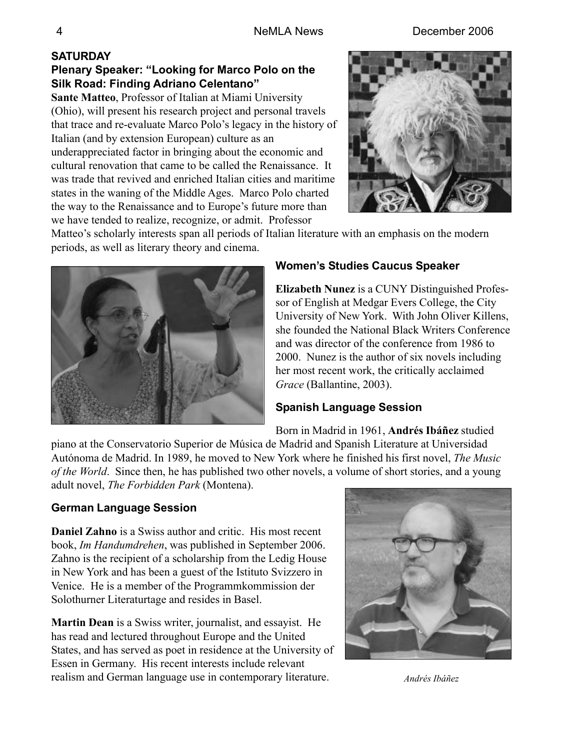4 NeMLA News December 2006

# **SATURDAY**

#### Plenary Speaker: "Looking for Marco Polo on the **Silk Road: Finding Adriano Celentanoî**

**Sante Matteo**, Professor of Italian at Miami University (Ohio), will present his research project and personal travels that trace and re-evaluate Marco Polo's legacy in the history of Italian (and by extension European) culture as an underappreciated factor in bringing about the economic and cultural renovation that came to be called the Renaissance. It was trade that revived and enriched Italian cities and maritime states in the waning of the Middle Ages. Marco Polo charted the way to the Renaissance and to Europe's future more than we have tended to realize, recognize, or admit. Professor



Matteo's scholarly interests span all periods of Italian literature with an emphasis on the modern periods, as well as literary theory and cinema.



#### **Womenís Studies Caucus Speaker**

**Elizabeth Nunez** is a CUNY Distinguished Professor of English at Medgar Evers College, the City University of New York. With John Oliver Killens, she founded the National Black Writers Conference and was director of the conference from 1986 to 2000. Nunez is the author of six novels including her most recent work, the critically acclaimed *Grace* (Ballantine, 2003).

#### **Spanish Language Session**

Born in Madrid in 1961, **Andrés Ibáñez** studied piano at the Conservatorio Superior de Música de Madrid and Spanish Literature at Universidad Autónoma de Madrid. In 1989, he moved to New York where he finished his first novel, *The Music of the World*. Since then, he has published two other novels, a volume of short stories, and a young adult novel, *The Forbidden Park* (Montena).

#### **German Language Session**

**Daniel Zahno** is a Swiss author and critic. His most recent book, *Im Handumdrehen*, was published in September 2006. Zahno is the recipient of a scholarship from the Ledig House in New York and has been a guest of the Istituto Svizzero in Venice. He is a member of the Programmkommission der Solothurner Literaturtage and resides in Basel.

**Martin Dean** is a Swiss writer, journalist, and essayist. He has read and lectured throughout Europe and the United States, and has served as poet in residence at the University of Essen in Germany. His recent interests include relevant realism and German language use in contemporary literature. *Andrés Ibáñez* 

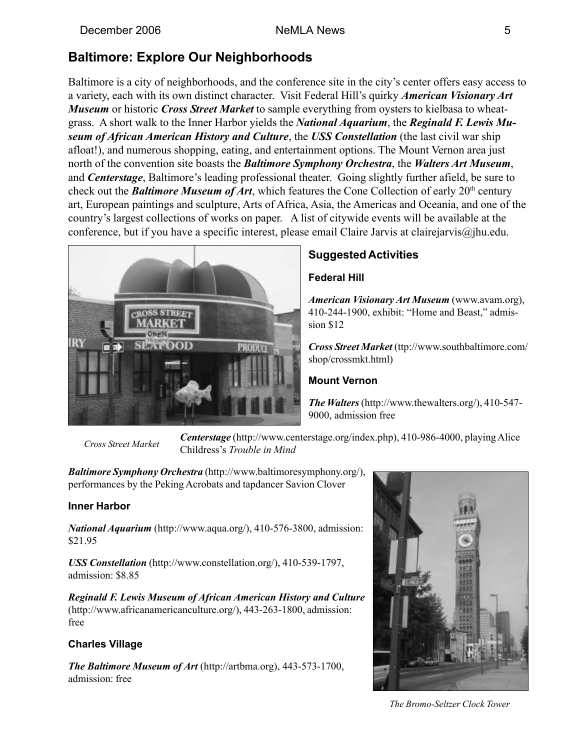## **Baltimore: Explore Our Neighborhoods**

Baltimore is a city of neighborhoods, and the conference site in the city's center offers easy access to a variety, each with its own distinct character. Visit Federal Hill's quirky *American Visionary Art Museum* or historic *Cross Street Market* to sample everything from oysters to kielbasa to wheatgrass. A short walk to the Inner Harbor yields the *National Aquarium*, the *Reginald F. Lewis Museum of African American History and Culture*, the *USS Constellation* (the last civil war ship afloat!), and numerous shopping, eating, and entertainment options. The Mount Vernon area just north of the convention site boasts the *Baltimore Symphony Orchestra*, the *Walters Art Museum*, and *Centerstage*, Baltimore's leading professional theater. Going slightly further afield, be sure to check out the *Baltimore Museum of Art*, which features the Cone Collection of early 20th century art, European paintings and sculpture, Arts of Africa, Asia, the Americas and Oceania, and one of the country's largest collections of works on paper. A list of citywide events will be available at the conference, but if you have a specific interest, please email Claire Jarvis at clairejarvis@jhu.edu.



#### **Suggested Activities**

#### **Federal Hill**

*American Visionary Art Museum* (www.avam.org), 410-244-1900, exhibit: "Home and Beast," admission \$12

*Cross Street Market* (ttp://www.southbaltimore.com/ shop/crossmkt.html)

#### **Mount Vernon**

*The Walters* (http://www.thewalters.org/), 410-547- 9000, admission free

 *Cross Street Market*

*Centerstage* (http://www.centerstage.org/index.php), 410-986-4000, playing Alice Childress's *Trouble in Mind* 

*Baltimore Symphony Orchestra* (http://www.baltimoresymphony.org/), performances by the Peking Acrobats and tapdancer Savion Clover

#### **Inner Harbor**

*National Aquarium* (http://www.aqua.org/), 410-576-3800, admission: \$21.95

*USS Constellation* (http://www.constellation.org/), 410-539-1797, admission: \$8.85

*Reginald F. Lewis Museum of African American History and Culture* (http://www.africanamericanculture.org/), 443-263-1800, admission: free

#### **Charles Village**

*The Baltimore Museum of Art* (http://artbma.org), 443-573-1700, admission: free



*The Bromo-Seltzer Clock Tower*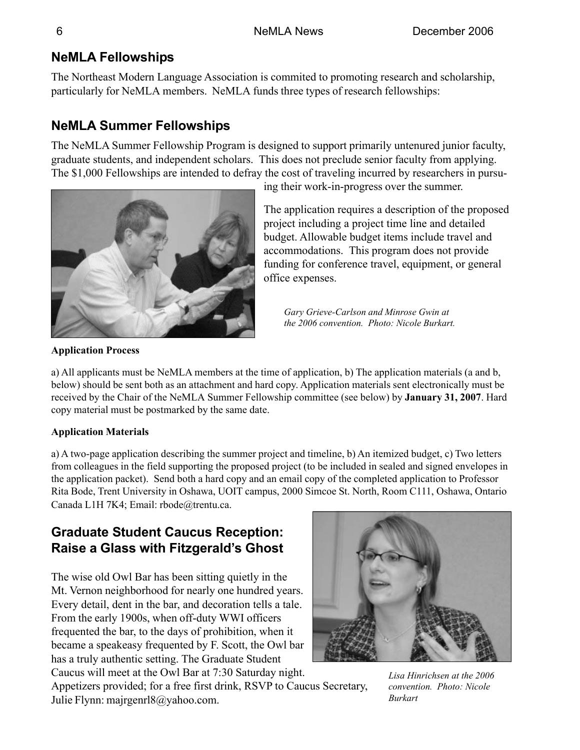# **NeMLA Fellowships**

The Northeast Modern Language Association is commited to promoting research and scholarship, particularly for NeMLA members. NeMLA funds three types of research fellowships:

# **NeMLA Summer Fellowships**

The NeMLA Summer Fellowship Program is designed to support primarily untenured junior faculty, graduate students, and independent scholars. This does not preclude senior faculty from applying. The \$1,000 Fellowships are intended to defray the cost of traveling incurred by researchers in pursu-



ing their work-in-progress over the summer.

The application requires a description of the proposed project including a project time line and detailed budget. Allowable budget items include travel and accommodations. This program does not provide funding for conference travel, equipment, or general office expenses.

*Gary Grieve-Carlson and Minrose Gwin at the 2006 convention. Photo: Nicole Burkart.*

**Application Process**

a) All applicants must be NeMLA members at the time of application, b) The application materials (a and b, below) should be sent both as an attachment and hard copy. Application materials sent electronically must be received by the Chair of the NeMLA Summer Fellowship committee (see below) by **January 31, 2007**. Hard copy material must be postmarked by the same date.

#### **Application Materials**

a) A two-page application describing the summer project and timeline, b) An itemized budget, c) Two letters from colleagues in the field supporting the proposed project (to be included in sealed and signed envelopes in the application packet). Send both a hard copy and an email copy of the completed application to Professor Rita Bode, Trent University in Oshawa, UOIT campus, 2000 Simcoe St. North, Room C111, Oshawa, Ontario Canada L1H 7K4; Email: rbode@trentu.ca.

# **Graduate Student Caucus Reception: Raise a Glass with Fitzgerald's Ghost**

The wise old Owl Bar has been sitting quietly in the Mt. Vernon neighborhood for nearly one hundred years. Every detail, dent in the bar, and decoration tells a tale. From the early 1900s, when off-duty WWI officers frequented the bar, to the days of prohibition, when it became a speakeasy frequented by F. Scott, the Owl bar has a truly authentic setting. The Graduate Student Caucus will meet at the Owl Bar at 7:30 Saturday night.

Appetizers provided; for a free first drink, RSVP to Caucus Secretary, Julie Flynn: majrgenrl8@yahoo.com.

*Lisa Hinrichsen at the 2006 convention. Photo: Nicole Burkart*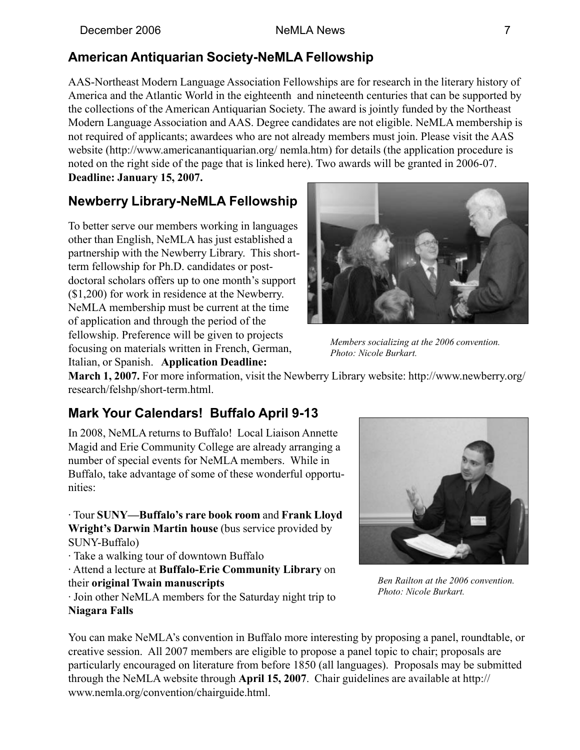# **American Antiquarian Society-NeMLA Fellowship**

AAS-Northeast Modern Language Association Fellowships are for research in the literary history of America and the Atlantic World in the eighteenth and nineteenth centuries that can be supported by the collections of the American Antiquarian Society. The award is jointly funded by the Northeast Modern Language Association and AAS. Degree candidates are not eligible. NeMLA membership is not required of applicants; awardees who are not already members must join. Please visit the AAS website (http://www.americanantiquarian.org/ nemla.htm) for details (the application procedure is noted on the right side of the page that is linked here). Two awards will be granted in 2006-07. **Deadline: January 15, 2007.**

# **Newberry Library-NeMLA Fellowship**

To better serve our members working in languages other than English, NeMLA has just established a partnership with the Newberry Library. This shortterm fellowship for Ph.D. candidates or postdoctoral scholars offers up to one month's support (\$1,200) for work in residence at the Newberry. NeMLA membership must be current at the time of application and through the period of the fellowship. Preference will be given to projects focusing on materials written in French, German, Italian, or Spanish. **Application Deadline:**



*Members socializing at the 2006 convention. Photo: Nicole Burkart.*

**March 1, 2007.** For more information, visit the Newberry Library website: http://www.newberry.org/ research/felshp/short-term.html.

# **Mark Your Calendars! Buffalo April 9-13**

In 2008, NeMLA returns to Buffalo! Local Liaison Annette Magid and Erie Community College are already arranging a number of special events for NeMLA members. While in Buffalo, take advantage of some of these wonderful opportunities:

· Tour **SUNYóBuffaloís rare book room** and **Frank Lloyd Wright's Darwin Martin house** (bus service provided by SUNY-Buffalo)

· Take a walking tour of downtown Buffalo

· Attend a lecture at **Buffalo-Erie Community Library** on their **original Twain manuscripts**



*Ben Railton at the 2006 convention. Photo: Nicole Burkart.*

· Join other NeMLA members for the Saturday night trip to **Niagara Falls**

You can make NeMLA's convention in Buffalo more interesting by proposing a panel, roundtable, or creative session. All 2007 members are eligible to propose a panel topic to chair; proposals are particularly encouraged on literature from before 1850 (all languages). Proposals may be submitted through the NeMLA website through **April 15, 2007**. Chair guidelines are available at http:// www.nemla.org/convention/chairguide.html.